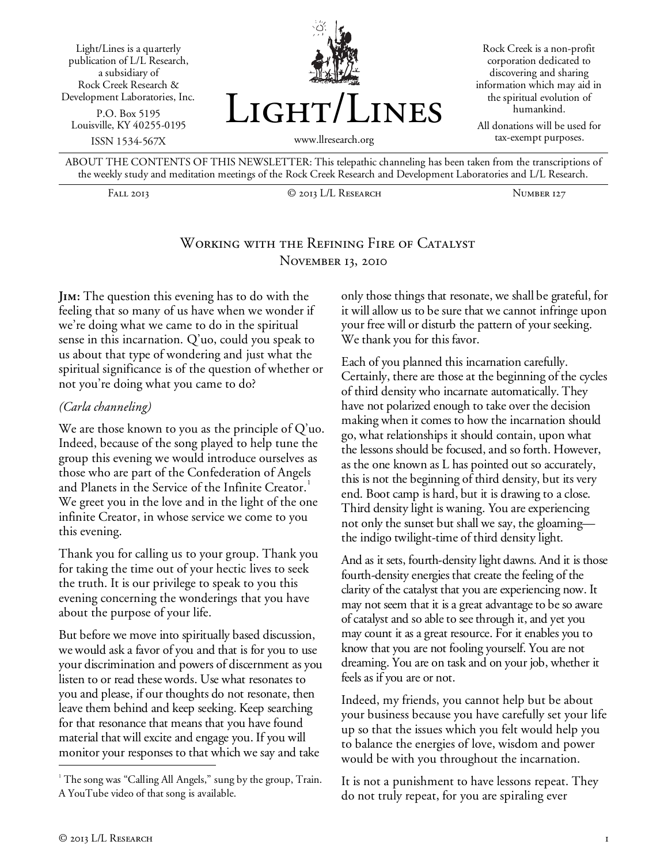

ABOUT THE CONTENTS OF THIS NEWSLETTER: This telepathic channeling has been taken from the transcriptions of the weekly study and meditation meetings of the Rock Creek Research and Development Laboratories and L/L Research.

Fall 2013 © 2013 L/L Research Number 127

# Working with the Refining Fire of Catalyst November 13, 2010

**Jim:** The question this evening has to do with the feeling that so many of us have when we wonder if we're doing what we came to do in the spiritual sense in this incarnation. Q'uo, could you speak to us about that type of wondering and just what the spiritual significance is of the question of whether or not you're doing what you came to do?

#### *(Carla channeling)*

We are those known to you as the principle of Q'uo. Indeed, because of the song played to help tune the group this evening we would introduce ourselves as those who are part of the Confederation of Angels and Planets in the Service of the Infinite Creator.<sup>1</sup> We greet you in the love and in the light of the one infinite Creator, in whose service we come to you this evening.

Thank you for calling us to your group. Thank you for taking the time out of your hectic lives to seek the truth. It is our privilege to speak to you this evening concerning the wonderings that you have about the purpose of your life.

But before we move into spiritually based discussion, we would ask a favor of you and that is for you to use your discrimination and powers of discernment as you listen to or read these words. Use what resonates to you and please, if our thoughts do not resonate, then leave them behind and keep seeking. Keep searching for that resonance that means that you have found material that will excite and engage you. If you will monitor your responses to that which we say and take

only those things that resonate, we shall be grateful, for it will allow us to be sure that we cannot infringe upon your free will or disturb the pattern of your seeking. We thank you for this favor.

Each of you planned this incarnation carefully. Certainly, there are those at the beginning of the cycles of third density who incarnate automatically. They have not polarized enough to take over the decision making when it comes to how the incarnation should go, what relationships it should contain, upon what the lessons should be focused, and so forth. However, as the one known as L has pointed out so accurately, this is not the beginning of third density, but its very end. Boot camp is hard, but it is drawing to a close. Third density light is waning. You are experiencing not only the sunset but shall we say, the gloaming the indigo twilight-time of third density light.

And as it sets, fourth-density light dawns. And it is those fourth-density energies that create the feeling of the clarity of the catalyst that you are experiencing now. It may not seem that it is a great advantage to be so aware of catalyst and so able to see through it, and yet you may count it as a great resource. For it enables you to know that you are not fooling yourself. You are not dreaming. You are on task and on your job, whether it feels as if you are or not.

Indeed, my friends, you cannot help but be about your business because you have carefully set your life up so that the issues which you felt would help you to balance the energies of love, wisdom and power would be with you throughout the incarnation.

It is not a punishment to have lessons repeat. They do not truly repeat, for you are spiraling ever

I

<sup>&</sup>lt;sup>1</sup> The song was "Calling All Angels," sung by the group, Train. A YouTube video of that song is available.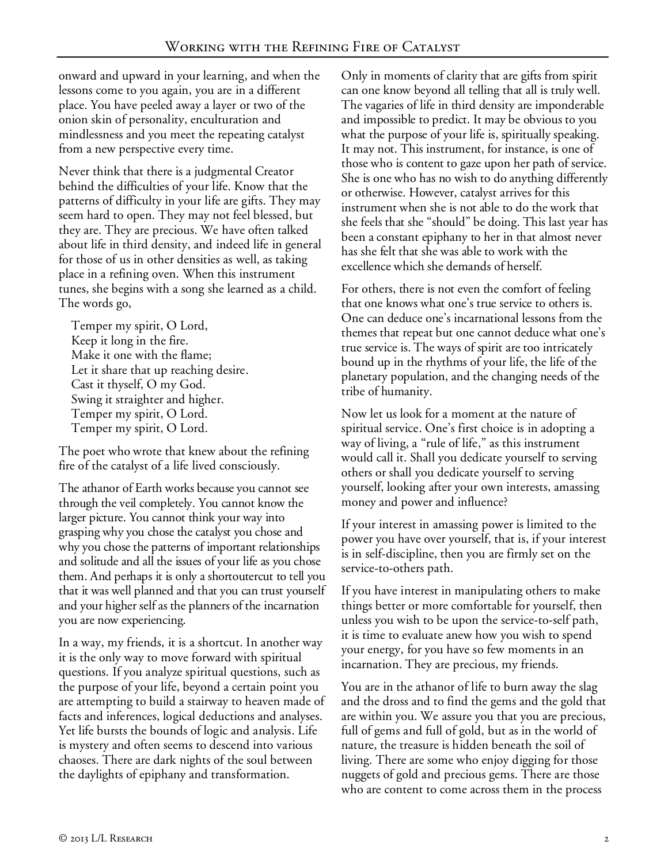onward and upward in your learning, and when the lessons come to you again, you are in a different place. You have peeled away a layer or two of the onion skin of personality, enculturation and mindlessness and you meet the repeating catalyst from a new perspective every time.

Never think that there is a judgmental Creator behind the difficulties of your life. Know that the patterns of difficulty in your life are gifts. They may seem hard to open. They may not feel blessed, but they are. They are precious. We have often talked about life in third density, and indeed life in general for those of us in other densities as well, as taking place in a refining oven. When this instrument tunes, she begins with a song she learned as a child. The words go,

Temper my spirit, O Lord, Keep it long in the fire. Make it one with the flame; Let it share that up reaching desire. Cast it thyself, O my God. Swing it straighter and higher. Temper my spirit, O Lord. Temper my spirit, O Lord.

The poet who wrote that knew about the refining fire of the catalyst of a life lived consciously.

The athanor of Earth works because you cannot see through the veil completely. You cannot know the larger picture. You cannot think your way into grasping why you chose the catalyst you chose and why you chose the patterns of important relationships and solitude and all the issues of your life as you chose them. And perhaps it is only a shortoutercut to tell you that it was well planned and that you can trust yourself and your higher self as the planners of the incarnation you are now experiencing.

In a way, my friends, it is a shortcut. In another way it is the only way to move forward with spiritual questions. If you analyze spiritual questions, such as the purpose of your life, beyond a certain point you are attempting to build a stairway to heaven made of facts and inferences, logical deductions and analyses. Yet life bursts the bounds of logic and analysis. Life is mystery and often seems to descend into various chaoses. There are dark nights of the soul between the daylights of epiphany and transformation.

Only in moments of clarity that are gifts from spirit can one know beyond all telling that all is truly well. The vagaries of life in third density are imponderable and impossible to predict. It may be obvious to you what the purpose of your life is, spiritually speaking. It may not. This instrument, for instance, is one of those who is content to gaze upon her path of service. She is one who has no wish to do anything differently or otherwise. However, catalyst arrives for this instrument when she is not able to do the work that she feels that she "should" be doing. This last year has been a constant epiphany to her in that almost never has she felt that she was able to work with the excellence which she demands of herself.

For others, there is not even the comfort of feeling that one knows what one's true service to others is. One can deduce one's incarnational lessons from the themes that repeat but one cannot deduce what one's true service is. The ways of spirit are too intricately bound up in the rhythms of your life, the life of the planetary population, and the changing needs of the tribe of humanity.

Now let us look for a moment at the nature of spiritual service. One's first choice is in adopting a way of living, a "rule of life," as this instrument would call it. Shall you dedicate yourself to serving others or shall you dedicate yourself to serving yourself, looking after your own interests, amassing money and power and influence?

If your interest in amassing power is limited to the power you have over yourself, that is, if your interest is in self-discipline, then you are firmly set on the service-to-others path.

If you have interest in manipulating others to make things better or more comfortable for yourself, then unless you wish to be upon the service-to-self path, it is time to evaluate anew how you wish to spend your energy, for you have so few moments in an incarnation. They are precious, my friends.

You are in the athanor of life to burn away the slag and the dross and to find the gems and the gold that are within you. We assure you that you are precious, full of gems and full of gold, but as in the world of nature, the treasure is hidden beneath the soil of living. There are some who enjoy digging for those nuggets of gold and precious gems. There are those who are content to come across them in the process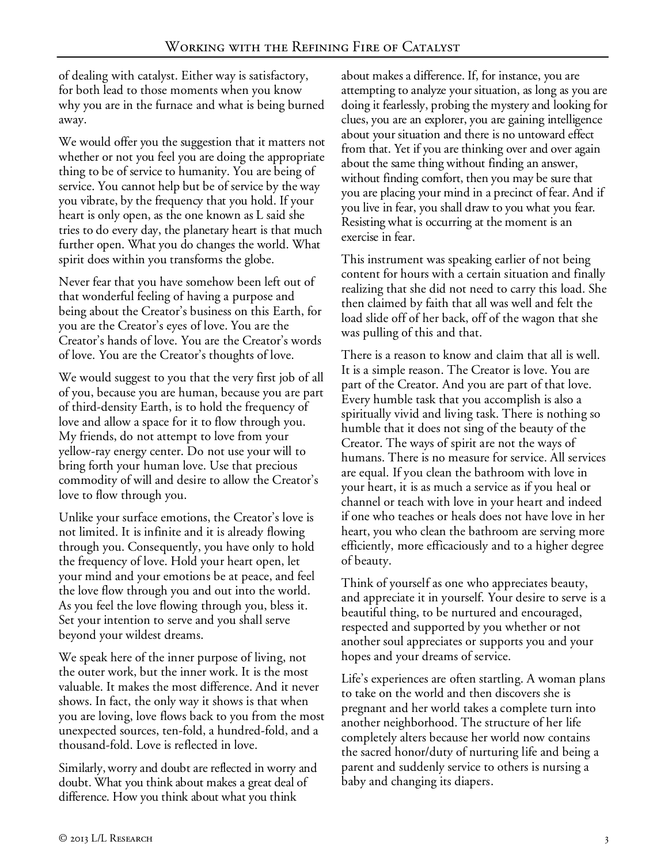of dealing with catalyst. Either way is satisfactory, for both lead to those moments when you know why you are in the furnace and what is being burned away.

We would offer you the suggestion that it matters not whether or not you feel you are doing the appropriate thing to be of service to humanity. You are being of service. You cannot help but be of service by the way you vibrate, by the frequency that you hold. If your heart is only open, as the one known as L said she tries to do every day, the planetary heart is that much further open. What you do changes the world. What spirit does within you transforms the globe.

Never fear that you have somehow been left out of that wonderful feeling of having a purpose and being about the Creator's business on this Earth, for you are the Creator's eyes of love. You are the Creator's hands of love. You are the Creator's words of love. You are the Creator's thoughts of love.

We would suggest to you that the very first job of all of you, because you are human, because you are part of third-density Earth, is to hold the frequency of love and allow a space for it to flow through you. My friends, do not attempt to love from your yellow-ray energy center. Do not use your will to bring forth your human love. Use that precious commodity of will and desire to allow the Creator's love to flow through you.

Unlike your surface emotions, the Creator's love is not limited. It is infinite and it is already flowing through you. Consequently, you have only to hold the frequency of love. Hold your heart open, let your mind and your emotions be at peace, and feel the love flow through you and out into the world. As you feel the love flowing through you, bless it. Set your intention to serve and you shall serve beyond your wildest dreams.

We speak here of the inner purpose of living, not the outer work, but the inner work. It is the most valuable. It makes the most difference. And it never shows. In fact, the only way it shows is that when you are loving, love flows back to you from the most unexpected sources, ten-fold, a hundred-fold, and a thousand-fold. Love is reflected in love.

Similarly, worry and doubt are reflected in worry and doubt. What you think about makes a great deal of difference. How you think about what you think

about makes a difference. If, for instance, you are attempting to analyze your situation, as long as you are doing it fearlessly, probing the mystery and looking for clues, you are an explorer, you are gaining intelligence about your situation and there is no untoward effect from that. Yet if you are thinking over and over again about the same thing without finding an answer, without finding comfort, then you may be sure that you are placing your mind in a precinct of fear. And if you live in fear, you shall draw to you what you fear. Resisting what is occurring at the moment is an exercise in fear.

This instrument was speaking earlier of not being content for hours with a certain situation and finally realizing that she did not need to carry this load. She then claimed by faith that all was well and felt the load slide off of her back, off of the wagon that she was pulling of this and that.

There is a reason to know and claim that all is well. It is a simple reason. The Creator is love. You are part of the Creator. And you are part of that love. Every humble task that you accomplish is also a spiritually vivid and living task. There is nothing so humble that it does not sing of the beauty of the Creator. The ways of spirit are not the ways of humans. There is no measure for service. All services are equal. If you clean the bathroom with love in your heart, it is as much a service as if you heal or channel or teach with love in your heart and indeed if one who teaches or heals does not have love in her heart, you who clean the bathroom are serving more efficiently, more efficaciously and to a higher degree of beauty.

Think of yourself as one who appreciates beauty, and appreciate it in yourself. Your desire to serve is a beautiful thing, to be nurtured and encouraged, respected and supported by you whether or not another soul appreciates or supports you and your hopes and your dreams of service.

Life's experiences are often startling. A woman plans to take on the world and then discovers she is pregnant and her world takes a complete turn into another neighborhood. The structure of her life completely alters because her world now contains the sacred honor/duty of nurturing life and being a parent and suddenly service to others is nursing a baby and changing its diapers.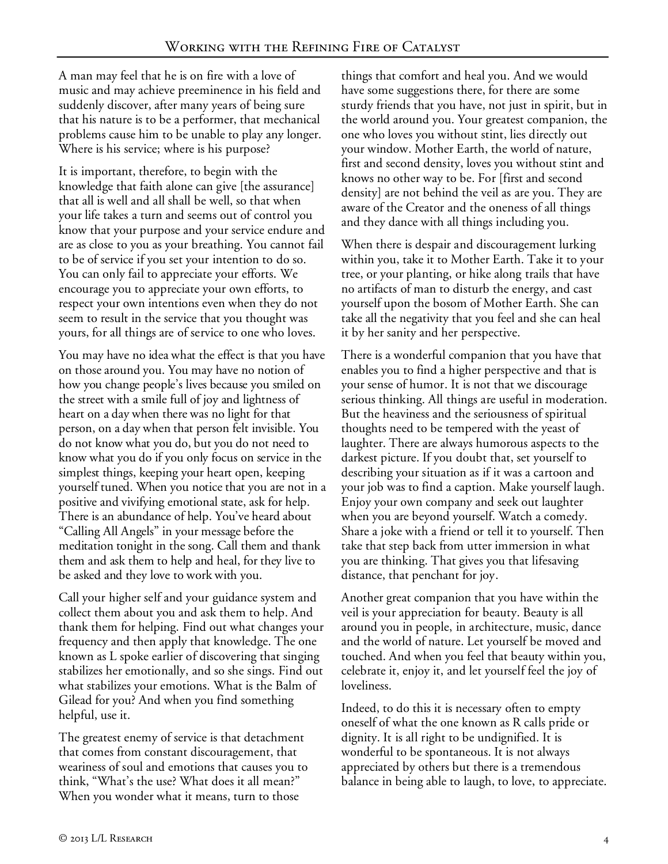A man may feel that he is on fire with a love of music and may achieve preeminence in his field and suddenly discover, after many years of being sure that his nature is to be a performer, that mechanical problems cause him to be unable to play any longer. Where is his service; where is his purpose?

It is important, therefore, to begin with the knowledge that faith alone can give [the assurance] that all is well and all shall be well, so that when your life takes a turn and seems out of control you know that your purpose and your service endure and are as close to you as your breathing. You cannot fail to be of service if you set your intention to do so. You can only fail to appreciate your efforts. We encourage you to appreciate your own efforts, to respect your own intentions even when they do not seem to result in the service that you thought was yours, for all things are of service to one who loves.

You may have no idea what the effect is that you have on those around you. You may have no notion of how you change people's lives because you smiled on the street with a smile full of joy and lightness of heart on a day when there was no light for that person, on a day when that person felt invisible. You do not know what you do, but you do not need to know what you do if you only focus on service in the simplest things, keeping your heart open, keeping yourself tuned. When you notice that you are not in a positive and vivifying emotional state, ask for help. There is an abundance of help. You've heard about "Calling All Angels" in your message before the meditation tonight in the song. Call them and thank them and ask them to help and heal, for they live to be asked and they love to work with you.

Call your higher self and your guidance system and collect them about you and ask them to help. And thank them for helping. Find out what changes your frequency and then apply that knowledge. The one known as L spoke earlier of discovering that singing stabilizes her emotionally, and so she sings. Find out what stabilizes your emotions. What is the Balm of Gilead for you? And when you find something helpful, use it.

The greatest enemy of service is that detachment that comes from constant discouragement, that weariness of soul and emotions that causes you to think, "What's the use? What does it all mean?" When you wonder what it means, turn to those

things that comfort and heal you. And we would have some suggestions there, for there are some sturdy friends that you have, not just in spirit, but in the world around you. Your greatest companion, the one who loves you without stint, lies directly out your window. Mother Earth, the world of nature, first and second density, loves you without stint and knows no other way to be. For [first and second density] are not behind the veil as are you. They are aware of the Creator and the oneness of all things and they dance with all things including you.

When there is despair and discouragement lurking within you, take it to Mother Earth. Take it to your tree, or your planting, or hike along trails that have no artifacts of man to disturb the energy, and cast yourself upon the bosom of Mother Earth. She can take all the negativity that you feel and she can heal it by her sanity and her perspective.

There is a wonderful companion that you have that enables you to find a higher perspective and that is your sense of humor. It is not that we discourage serious thinking. All things are useful in moderation. But the heaviness and the seriousness of spiritual thoughts need to be tempered with the yeast of laughter. There are always humorous aspects to the darkest picture. If you doubt that, set yourself to describing your situation as if it was a cartoon and your job was to find a caption. Make yourself laugh. Enjoy your own company and seek out laughter when you are beyond yourself. Watch a comedy. Share a joke with a friend or tell it to yourself. Then take that step back from utter immersion in what you are thinking. That gives you that lifesaving distance, that penchant for joy.

Another great companion that you have within the veil is your appreciation for beauty. Beauty is all around you in people, in architecture, music, dance and the world of nature. Let yourself be moved and touched. And when you feel that beauty within you, celebrate it, enjoy it, and let yourself feel the joy of loveliness.

Indeed, to do this it is necessary often to empty oneself of what the one known as R calls pride or dignity. It is all right to be undignified. It is wonderful to be spontaneous. It is not always appreciated by others but there is a tremendous balance in being able to laugh, to love, to appreciate.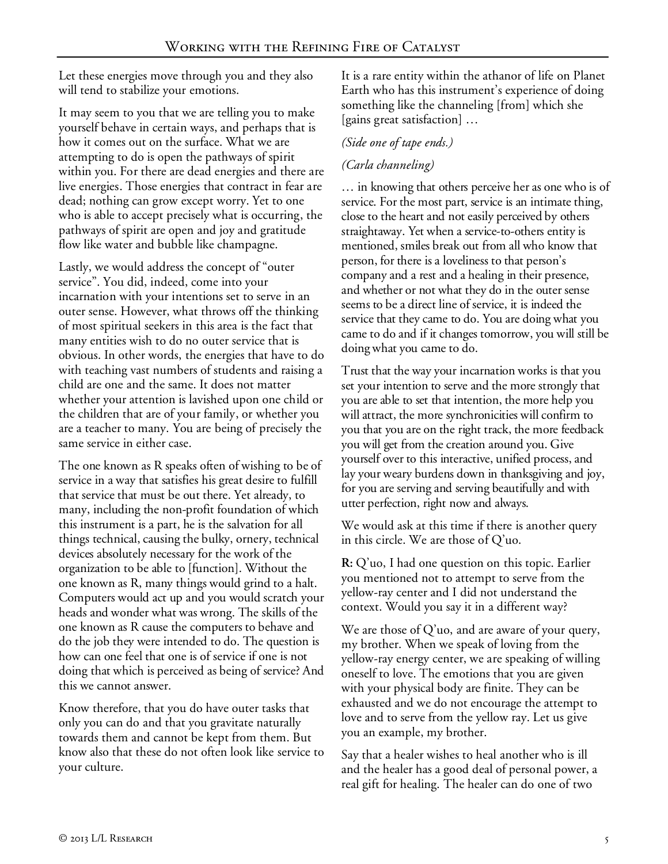Let these energies move through you and they also will tend to stabilize your emotions.

It may seem to you that we are telling you to make yourself behave in certain ways, and perhaps that is how it comes out on the surface. What we are attempting to do is open the pathways of spirit within you. For there are dead energies and there are live energies. Those energies that contract in fear are dead; nothing can grow except worry. Yet to one who is able to accept precisely what is occurring, the pathways of spirit are open and joy and gratitude flow like water and bubble like champagne.

Lastly, we would address the concept of "outer service". You did, indeed, come into your incarnation with your intentions set to serve in an outer sense. However, what throws off the thinking of most spiritual seekers in this area is the fact that many entities wish to do no outer service that is obvious. In other words, the energies that have to do with teaching vast numbers of students and raising a child are one and the same. It does not matter whether your attention is lavished upon one child or the children that are of your family, or whether you are a teacher to many. You are being of precisely the same service in either case.

The one known as R speaks often of wishing to be of service in a way that satisfies his great desire to fulfill that service that must be out there. Yet already, to many, including the non-profit foundation of which this instrument is a part, he is the salvation for all things technical, causing the bulky, ornery, technical devices absolutely necessary for the work of the organization to be able to [function]. Without the one known as R, many things would grind to a halt. Computers would act up and you would scratch your heads and wonder what was wrong. The skills of the one known as R cause the computers to behave and do the job they were intended to do. The question is how can one feel that one is of service if one is not doing that which is perceived as being of service? And this we cannot answer.

Know therefore, that you do have outer tasks that only you can do and that you gravitate naturally towards them and cannot be kept from them. But know also that these do not often look like service to your culture.

It is a rare entity within the athanor of life on Planet Earth who has this instrument's experience of doing something like the channeling [from] which she [gains great satisfaction] …

#### *(Side one of tape ends.)*

## *(Carla channeling)*

… in knowing that others perceive her as one who is of service. For the most part, service is an intimate thing, close to the heart and not easily perceived by others straightaway. Yet when a service-to-others entity is mentioned, smiles break out from all who know that person, for there is a loveliness to that person's company and a rest and a healing in their presence, and whether or not what they do in the outer sense seems to be a direct line of service, it is indeed the service that they came to do. You are doing what you came to do and if it changes tomorrow, you will still be doing what you came to do.

Trust that the way your incarnation works is that you set your intention to serve and the more strongly that you are able to set that intention, the more help you will attract, the more synchronicities will confirm to you that you are on the right track, the more feedback you will get from the creation around you. Give yourself over to this interactive, unified process, and lay your weary burdens down in thanksgiving and joy, for you are serving and serving beautifully and with utter perfection, right now and always.

We would ask at this time if there is another query in this circle. We are those of Q'uo.

**R:** Q'uo, I had one question on this topic. Earlier you mentioned not to attempt to serve from the yellow-ray center and I did not understand the context. Would you say it in a different way?

We are those of  $Q'$ uo, and are aware of your query, my brother. When we speak of loving from the yellow-ray energy center, we are speaking of willing oneself to love. The emotions that you are given with your physical body are finite. They can be exhausted and we do not encourage the attempt to love and to serve from the yellow ray. Let us give you an example, my brother.

Say that a healer wishes to heal another who is ill and the healer has a good deal of personal power, a real gift for healing. The healer can do one of two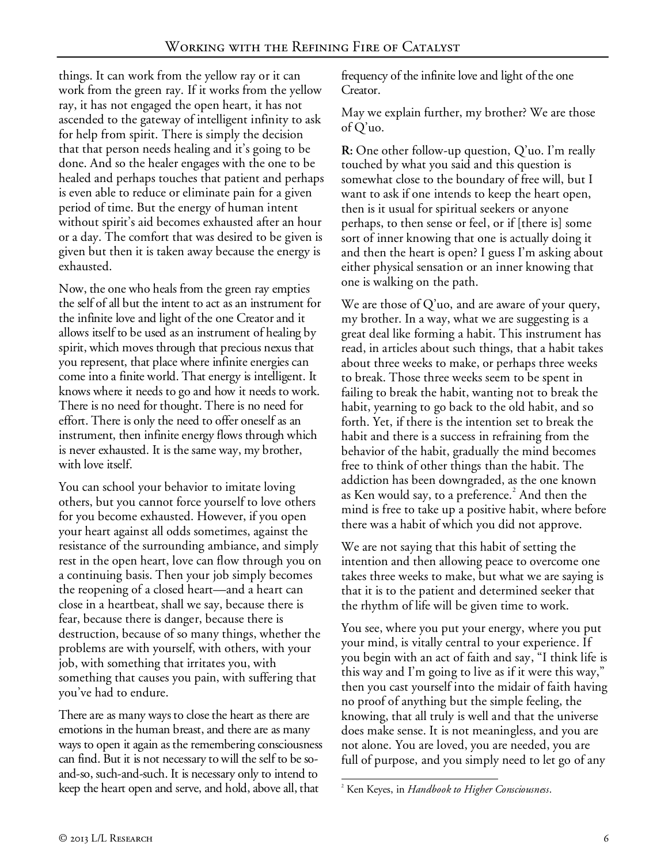things. It can work from the yellow ray or it can work from the green ray. If it works from the yellow ray, it has not engaged the open heart, it has not ascended to the gateway of intelligent infinity to ask for help from spirit. There is simply the decision that that person needs healing and it's going to be done. And so the healer engages with the one to be healed and perhaps touches that patient and perhaps is even able to reduce or eliminate pain for a given period of time. But the energy of human intent without spirit's aid becomes exhausted after an hour or a day. The comfort that was desired to be given is given but then it is taken away because the energy is exhausted.

Now, the one who heals from the green ray empties the self of all but the intent to act as an instrument for the infinite love and light of the one Creator and it allows itself to be used as an instrument of healing by spirit, which moves through that precious nexus that you represent, that place where infinite energies can come into a finite world. That energy is intelligent. It knows where it needs to go and how it needs to work. There is no need for thought. There is no need for effort. There is only the need to offer oneself as an instrument, then infinite energy flows through which is never exhausted. It is the same way, my brother, with love itself.

You can school your behavior to imitate loving others, but you cannot force yourself to love others for you become exhausted. However, if you open your heart against all odds sometimes, against the resistance of the surrounding ambiance, and simply rest in the open heart, love can flow through you on a continuing basis. Then your job simply becomes the reopening of a closed heart—and a heart can close in a heartbeat, shall we say, because there is fear, because there is danger, because there is destruction, because of so many things, whether the problems are with yourself, with others, with your job, with something that irritates you, with something that causes you pain, with suffering that you've had to endure.

There are as many ways to close the heart as there are emotions in the human breast, and there are as many ways to open it again as the remembering consciousness can find. But it is not necessary to will the self to be soand-so, such-and-such. It is necessary only to intend to keep the heart open and serve, and hold, above all, that

frequency of the infinite love and light of the one Creator.

May we explain further, my brother? We are those of Q'uo.

**R:** One other follow-up question, Q'uo. I'm really touched by what you said and this question is somewhat close to the boundary of free will, but I want to ask if one intends to keep the heart open, then is it usual for spiritual seekers or anyone perhaps, to then sense or feel, or if [there is] some sort of inner knowing that one is actually doing it and then the heart is open? I guess I'm asking about either physical sensation or an inner knowing that one is walking on the path.

We are those of Q'uo, and are aware of your query, my brother. In a way, what we are suggesting is a great deal like forming a habit. This instrument has read, in articles about such things, that a habit takes about three weeks to make, or perhaps three weeks to break. Those three weeks seem to be spent in failing to break the habit, wanting not to break the habit, yearning to go back to the old habit, and so forth. Yet, if there is the intention set to break the habit and there is a success in refraining from the behavior of the habit, gradually the mind becomes free to think of other things than the habit. The addiction has been downgraded, as the one known as Ken would say, to a preference. $^2$  And then the mind is free to take up a positive habit, where before there was a habit of which you did not approve.

We are not saying that this habit of setting the intention and then allowing peace to overcome one takes three weeks to make, but what we are saying is that it is to the patient and determined seeker that the rhythm of life will be given time to work.

You see, where you put your energy, where you put your mind, is vitally central to your experience. If you begin with an act of faith and say, "I think life is this way and I'm going to live as if it were this way," then you cast yourself into the midair of faith having no proof of anything but the simple feeling, the knowing, that all truly is well and that the universe does make sense. It is not meaningless, and you are not alone. You are loved, you are needed, you are full of purpose, and you simply need to let go of any

<sup>-</sup>2 Ken Keyes, in *Handbook to Higher Consciousness*.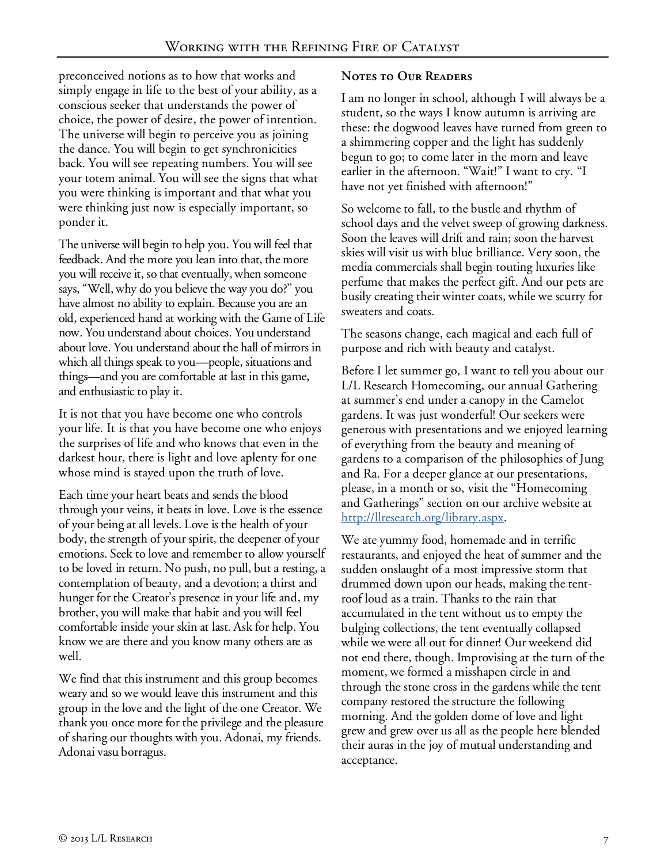preconceived notions as to how that works and simply engage in life to the best of your ability, as a conscious seeker that understands the power of choice, the power of desire, the power of intention. The universe will begin to perceive you as joining the dance. You will begin to get synchronicities back. You will see repeating numbers. You will see your totem animal. You will see the signs that what you were thinking is important and that what you were thinking just now is especially important, so ponder it.

The universe will begin to help you. You will feel that feedback. And the more you lean into that, the more you will receive it, so that eventually, when someone says, "Well, why do you believe the way you do?" you have almost no ability to explain. Because you are an old, experienced hand at working with the Game of Life now. You understand about choices. You understand about love. You understand about the hall of mirrors in which all things speak to you—people, situations and things—and you are comfortable at last in this game, and enthusiastic to play it.

It is not that you have become one who controls your life. It is that you have become one who enjoys the surprises of life and who knows that even in the darkest hour, there is light and love aplenty for one whose mind is stayed upon the truth of love.

Each time your heart beats and sends the blood through your veins, it beats in love. Love is the essence of your being at all levels. Love is the health of your body, the strength of your spirit, the deepener of your emotions. Seek to love and remember to allow yourself to be loved in return. No push, no pull, but a resting, a contemplation of beauty, and a devotion; a thirst and hunger for the Creator's presence in your life and, my brother, you will make that habit and you will feel comfortable inside your skin at last. Ask for help. You know we are there and you know many others are as well.

We find that this instrument and this group becomes weary and so we would leave this instrument and this group in the love and the light of the one Creator. We thank you once more for the privilege and the pleasure of sharing our thoughts with you. Adonai, my friends. Adonai vasu borragus.

### **Notes to Our Readers**

I am no longer in school, although I will always be a student, so the ways I know autumn is arriving are these: the dogwood leaves have turned from green to a shimmering copper and the light has suddenly begun to go; to come later in the morn and leave earlier in the afternoon. "Wait!" I want to cry. "I have not yet finished with afternoon!"

So welcome to fall, to the bustle and rhythm of school days and the velvet sweep of growing darkness. Soon the leaves will drift and rain; soon the harvest skies will visit us with blue brilliance. Very soon, the media commercials shall begin touting luxuries like perfume that makes the perfect gift. And our pets are busily creating their winter coats, while we scurry for sweaters and coats.

The seasons change, each magical and each full of purpose and rich with beauty and catalyst.

Before I let summer go, I want to tell you about our L/L Research Homecoming, our annual Gathering at summer's end under a canopy in the Camelot gardens. It was just wonderful! Our seekers were generous with presentations and we enjoyed learning of everything from the beauty and meaning of gardens to a comparison of the philosophies of Jung and Ra. For a deeper glance at our presentations, please, in a month or so, visit the "Homecoming and Gatherings" section on our archive website at http://llresearch.org/library.aspx.

We ate yummy food, homemade and in terrific restaurants, and enjoyed the heat of summer and the sudden onslaught of a most impressive storm that drummed down upon our heads, making the tentroof loud as a train. Thanks to the rain that accumulated in the tent without us to empty the bulging collections, the tent eventually collapsed while we were all out for dinner! Our weekend did not end there, though. Improvising at the turn of the moment, we formed a misshapen circle in and through the stone cross in the gardens while the tent company restored the structure the following morning. And the golden dome of love and light grew and grew over us all as the people here blended their auras in the joy of mutual understanding and acceptance.